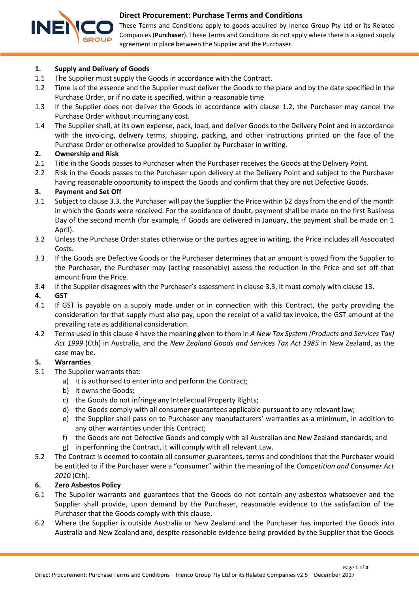

These Terms and Conditions apply to goods acquired by Inenco Group Pty Ltd or its Related Companies (**Purchaser**). These Terms and Conditions do not apply where there is a signed supply agreement in place between the Supplier and the Purchaser.

### **1. Supply and Delivery of Goods**

- 1.1 The Supplier must supply the Goods in accordance with the Contract.
- <span id="page-0-0"></span>1.2 Time is of the essence and the Supplier must deliver the Goods to the place and by the date specified in the Purchase Order, or if no date is specified, within a reasonable time.
- 1.3 If the Supplier does not deliver the Goods in accordance with clause [1.2,](#page-0-0) the Purchaser may cancel the Purchase Order without incurring any cost.
- 1.4 The Supplier shall, at its own expense, pack, load, and deliver Goods to the Delivery Point and in accordance with the invoicing, delivery terms, shipping, packing, and other instructions printed on the face of the Purchase Order or otherwise provided to Supplier by Purchaser in writing.

### **2. Ownership and Risk**

- 2.1 Title in the Goods passes to Purchaser when the Purchaser receives the Goods at the Delivery Point.
- 2.2 Risk in the Goods passes to the Purchaser upon delivery at the Delivery Point and subject to the Purchaser having reasonable opportunity to inspect the Goods and confirm that they are not Defective Goods.

### <span id="page-0-3"></span>**3. Payment and Set Off**

- 3.1 Subject to claus[e 3.3,](#page-0-1) the Purchaser will pay the Supplier the Price within 62 days from the end of the month in which the Goods were received. For the avoidance of doubt, payment shall be made on the first Business Day of the second month (for example, if Goods are delivered in January, the payment shall be made on 1 April).
- 3.2 Unless the Purchase Order states otherwise or the parties agree in writing, the Price includes all Associated Costs.
- <span id="page-0-1"></span>3.3 If the Goods are Defective Goods or the Purchaser determines that an amount is owed from the Supplier to the Purchaser, the Purchaser may (acting reasonably) assess the reduction in the Price and set off that amount from the Price.
- 3.4 If the Supplier disagrees with the Purchaser's assessment in clause [3.3,](#page-0-1) it must comply with clause [13.](#page-2-0)

### <span id="page-0-2"></span>**4. GST**

- 4.1 If GST is payable on a supply made under or in connection with this Contract, the party providing the consideration for that supply must also pay, upon the receipt of a valid tax invoice, the GST amount at the prevailing rate as additional consideration.
- 4.2 Terms used in this clause [4](#page-0-2) have the meaning given to them in *A New Tax System (Products and Services Tax) Act 1999* (Cth) in Australia, and the *New Zealand Goods and Services Tax Act 1985* in New Zealand, as the case may be.

#### <span id="page-0-4"></span>**5. Warranties**

- 5.1 The Supplier warrants that:
	- a) it is authorised to enter into and perform the Contract;
	- b) it owns the Goods;
	- c) the Goods do not infringe any Intellectual Property Rights;
	- d) the Goods comply with all consumer guarantees applicable pursuant to any relevant law;
	- e) the Supplier shall pass on to Purchaser any manufacturers' warranties as a minimum, in addition to any other warranties under this Contract;
	- f) the Goods are not Defective Goods and comply with all Australian and New Zealand standards; and
	- g) in performing the Contract, it will comply with all relevant Law.
- 5.2 The Contract is deemed to contain all consumer guarantees, terms and conditions that the Purchaser would be entitled to if the Purchaser were a "consumer" within the meaning of the *Competition and Consumer Act 2010* (Cth).

#### <span id="page-0-5"></span>**6. Zero Asbestos Policy**

- 6.1 The Supplier warrants and guarantees that the Goods do not contain any asbestos whatsoever and the Supplier shall provide, upon demand by the Purchaser, reasonable evidence to the satisfaction of the Purchaser that the Goods comply with this clause.
- 6.2 Where the Supplier is outside Australia or New Zealand and the Purchaser has imported the Goods into Australia and New Zealand and, despite reasonable evidence being provided by the Supplier that the Goods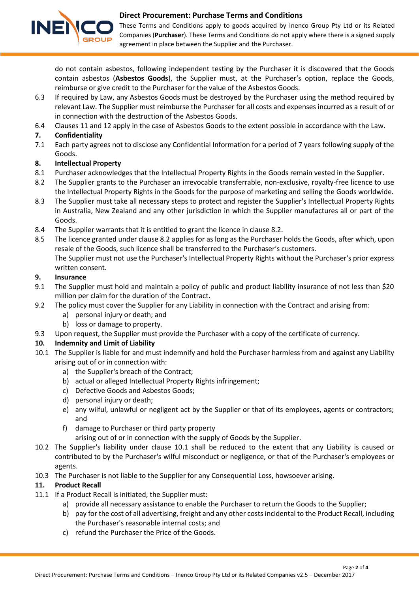

These Terms and Conditions apply to goods acquired by Inenco Group Pty Ltd or its Related Companies (**Purchaser**). These Terms and Conditions do not apply where there is a signed supply agreement in place between the Supplier and the Purchaser.

do not contain asbestos, following independent testing by the Purchaser it is discovered that the Goods contain asbestos (**Asbestos Goods**), the Supplier must, at the Purchaser's option, replace the Goods, reimburse or give credit to the Purchaser for the value of the Asbestos Goods.

- 6.3 If required by Law, any Asbestos Goods must be destroyed by the Purchaser using the method required by relevant Law. The Supplier must reimburse the Purchaser for all costs and expenses incurred as a result of or in connection with the destruction of the Asbestos Goods.
- 6.4 Clauses [11](#page-1-0) and [12](#page-2-1) apply in the case of Asbestos Goods to the extent possible in accordance with the Law.

# <span id="page-1-4"></span>**7. Confidentiality**

7.1 Each party agrees not to disclose any Confidential Information for a period of 7 years following supply of the Goods.

# <span id="page-1-5"></span>**8. Intellectual Property**

- 8.1 Purchaser acknowledges that the Intellectual Property Rights in the Goods remain vested in the Supplier.
- <span id="page-1-1"></span>8.2 The Supplier grants to the Purchaser an irrevocable transferrable, non-exclusive, royalty-free licence to use the Intellectual Property Rights in the Goods for the purpose of marketing and selling the Goods worldwide.
- 8.3 The Supplier must take all necessary steps to protect and register the Supplier's Intellectual Property Rights in Australia, New Zealand and any other jurisdiction in which the Supplier manufactures all or part of the Goods.
- 8.4 The Supplier warrants that it is entitled to grant the licence in clause [8.2.](#page-1-1)
- 8.5 The licence granted under claus[e 8.2](#page-1-1) applies for as long as the Purchaser holds the Goods, after which, upon resale of the Goods, such licence shall be transferred to the Purchaser's customers. The Supplier must not use the Purchaser's Intellectual Property Rights without the Purchaser's prior express written consent.

### **9. Insurance**

- 9.1 The Supplier must hold and maintain a policy of public and product liability insurance of not less than \$20 million per claim for the duration of the Contract.
- 9.2 The policy must cover the Supplier for any Liability in connection with the Contract and arising from:
	- a) personal injury or death; and
	- b) loss or damage to property.
- 9.3 Upon request, the Supplier must provide the Purchaser with a copy of the certificate of currency.

# <span id="page-1-6"></span>**10. Indemnity and Limit of Liability**

- <span id="page-1-2"></span>10.1 The Supplier is liable for and must indemnify and hold the Purchaser harmless from and against any Liability arising out of or in connection with:
	- a) the Supplier's breach of the Contract;
	- b) actual or alleged Intellectual Property Rights infringement;
	- c) Defective Goods and Asbestos Goods;
	- d) personal injury or death;
	- e) any wilful, unlawful or negligent act by the Supplier or that of its employees, agents or contractors; and
	- f) damage to Purchaser or third party property

arising out of or in connection with the supply of Goods by the Supplier.

- 10.2 The Supplier's liability under clause [10.1](#page-1-2) shall be reduced to the extent that any Liability is caused or contributed to by the Purchaser's wilful misconduct or negligence, or that of the Purchaser's employees or agents.
- 10.3 The Purchaser is not liable to the Supplier for any Consequential Loss, howsoever arising.

#### <span id="page-1-0"></span>**11. Product Recall**

- <span id="page-1-3"></span>11.1 If a Product Recall is initiated, the Supplier must:
	- a) provide all necessary assistance to enable the Purchaser to return the Goods to the Supplier;
	- b) pay for the cost of all advertising, freight and any other costs incidental to the Product Recall, including the Purchaser's reasonable internal costs; and
	- c) refund the Purchaser the Price of the Goods.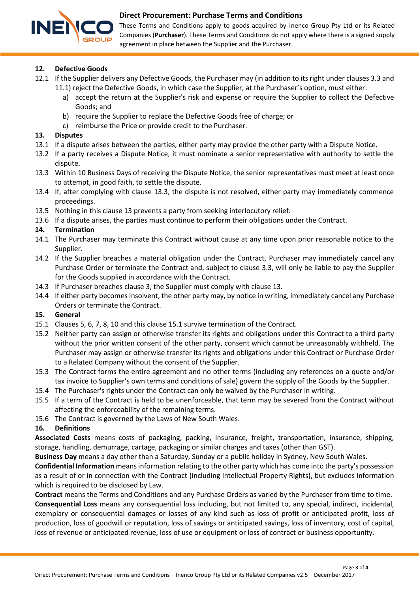

These Terms and Conditions apply to goods acquired by Inenco Group Pty Ltd or its Related Companies (**Purchaser**). These Terms and Conditions do not apply where there is a signed supply agreement in place between the Supplier and the Purchaser.

### <span id="page-2-1"></span>**12. Defective Goods**

- 12.1 If the Supplier delivers any Defective Goods, the Purchaser may (in addition to its right under clauses [3.3](#page-0-1) and [11.1\)](#page-1-3) reject the Defective Goods, in which case the Supplier, at the Purchaser's option, must either:
	- a) accept the return at the Supplier's risk and expense or require the Supplier to collect the Defective Goods; and
	- b) require the Supplier to replace the Defective Goods free of charge; or
	- c) reimburse the Price or provide credit to the Purchaser.

### <span id="page-2-0"></span>**13. Disputes**

- 13.1 If a dispute arises between the parties, either party may provide the other party with a Dispute Notice.
- 13.2 If a party receives a Dispute Notice, it must nominate a senior representative with authority to settle the dispute.
- <span id="page-2-2"></span>13.3 Within 10 Business Days of receiving the Dispute Notice, the senior representatives must meet at least once to attempt, in good faith, to settle the dispute.
- 13.4 If, after complying with clause [13.3,](#page-2-2) the dispute is not resolved, either party may immediately commence proceedings.
- 13.5 Nothing in this clause [13](#page-2-0) prevents a party from seeking interlocutory relief.
- 13.6 If a dispute arises, the parties must continue to perform their obligations under the Contract.

### **14. Termination**

- 14.1 The Purchaser may terminate this Contract without cause at any time upon prior reasonable notice to the Supplier.
- 14.2 If the Supplier breaches a material obligation under the Contract, Purchaser may immediately cancel any Purchase Order or terminate the Contract and, subject to clause [3.3,](#page-0-1) will only be liable to pay the Supplier for the Goods supplied in accordance with the Contract.
- 14.3 If Purchaser breaches clause [3,](#page-0-3) the Supplier must comply with claus[e 13.](#page-2-0)
- 14.4 If either party becomes Insolvent, the other party may, by notice in writing, immediately cancel any Purchase Orders or terminate the Contract.

#### **15. General**

- <span id="page-2-3"></span>15.1 Clauses [5,](#page-0-4) [6,](#page-0-5) [7,](#page-1-4) [8,](#page-1-5) [10](#page-1-6) and this claus[e 15.1](#page-2-3) survive termination of the Contract.
- 15.2 Neither party can assign or otherwise transfer its rights and obligations under this Contract to a third party without the prior written consent of the other party, consent which cannot be unreasonably withheld. The Purchaser may assign or otherwise transfer its rights and obligations under this Contract or Purchase Order to a Related Company without the consent of the Supplier.
- 15.3 The Contract forms the entire agreement and no other terms (including any references on a quote and/or tax invoice to Supplier's own terms and conditions of sale) govern the supply of the Goods by the Supplier.
- 15.4 The Purchaser's rights under the Contract can only be waived by the Purchaser in writing.
- 15.5 If a term of the Contract is held to be unenforceable, that term may be severed from the Contract without affecting the enforceability of the remaining terms.
- 15.6 The Contract is governed by the Laws of New South Wales.

# **16. Definitions**

**Associated Costs** means costs of packaging, packing, insurance, freight, transportation, insurance, shipping, storage, handling, demurrage, cartage, packaging or similar charges and taxes (other than GST).

**Business Day** means a day other than a Saturday, Sunday or a public holiday in Sydney, New South Wales.

**Confidential Information** means information relating to the other party which has come into the party's possession as a result of or in connection with the Contract (including Intellectual Property Rights), but excludes information which is required to be disclosed by Law.

**Contract** means the Terms and Conditions and any Purchase Orders as varied by the Purchaser from time to time. **Consequential Loss** means any consequential loss including, but not limited to, any special, indirect, incidental, exemplary or consequential damages or losses of any kind such as loss of profit or anticipated profit, loss of production, loss of goodwill or reputation, loss of savings or anticipated savings, loss of inventory, cost of capital, loss of revenue or anticipated revenue, loss of use or equipment or loss of contract or business opportunity.